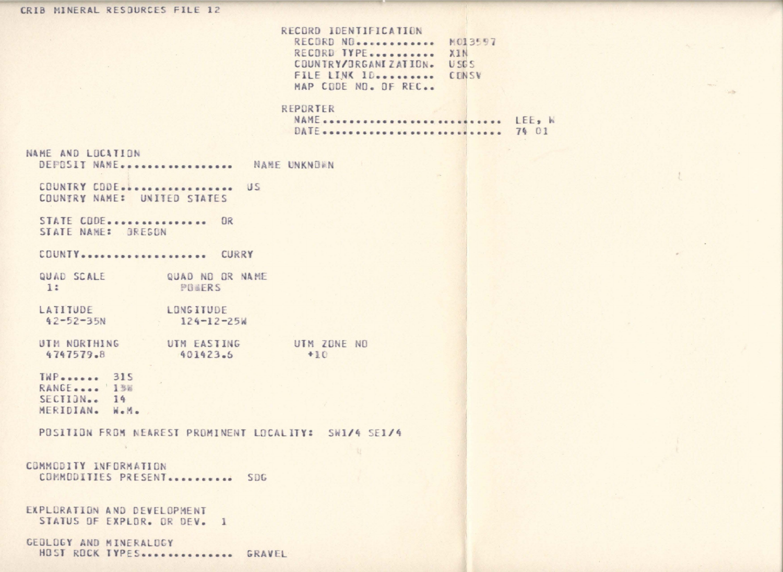### CRIB MINERAL RESOURCES FILE 12

RECORD IDENTIFICATION RECORD NO. ............ MO13597 RECORD TYPE........... XIN COUNTRY/ORGANIZATION. USGS FILE LINK ID......... CENSV MAP CODE ND. OF REC..

### REPORTER

NAME ............................. LEE, W 

## NAME AND LOCATION

DEPOSIT NAME................. NAME UNKNOWN

COUNTRY CODE.................. US COUNTRY NAME: UNITED STATES

STATE CODE................ OR STATE NAME: GREGON

COUNTY.................... CURRY

QUAD SCALE QUAD NO OR NAME 1: POWERS

LATITUDE LONGITUDE  $42 - 52 - 35N$  $124 - 12 - 25k$ 

UTM NORTHING UTM EASTING UTM ZONE NO  $+10$ 401423.6 4747579.8

**TWP** ....... 315 RANGE.... 138  $SECIIDN<sub>ex</sub>$  14 MERIDIAN. W.M.

POSITION FROM NEAREST PROMINENT LOCALITY: SW1/4 SE1/4

# COMMODITY INFORMATION COMMODITIES PRESENT ........... SDG

```
EXPLORATION AND DEVELOPMENT
STATUS OF EXPLOR. OR DEV. 1
```
GEOLOGY AND MINERALDGY HOST ROCK TYPES ............... GRAVEL